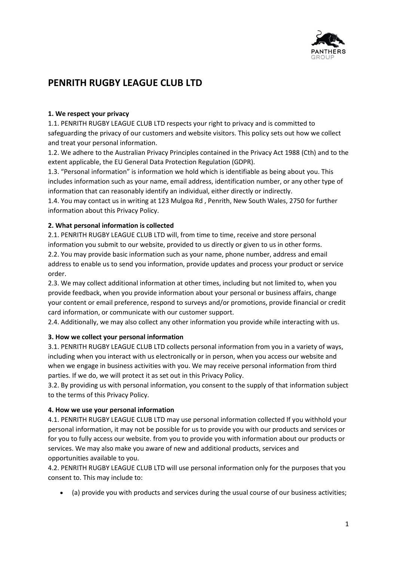

# **PENRITH RUGBY LEAGUE CLUB LTD**

### **1. We respect your privacy**

1.1. PENRITH RUGBY LEAGUE CLUB LTD respects your right to privacy and is committed to safeguarding the privacy of our customers and website visitors. This policy sets out how we collect and treat your personal information.

1.2. We adhere to the Australian Privacy Principles contained in the Privacy Act 1988 (Cth) and to the extent applicable, the EU General Data Protection Regulation (GDPR).

1.3. "Personal information" is information we hold which is identifiable as being about you. This includes information such as your name, email address, identification number, or any other type of information that can reasonably identify an individual, either directly or indirectly.

1.4. You may contact us in writing at 123 Mulgoa Rd , Penrith, New South Wales, 2750 for further information about this Privacy Policy.

## **2. What personal information is collected**

2.1. PENRITH RUGBY LEAGUE CLUB LTD will, from time to time, receive and store personal information you submit to our website, provided to us directly or given to us in other forms. 2.2. You may provide basic information such as your name, phone number, address and email address to enable us to send you information, provide updates and process your product or service order.

2.3. We may collect additional information at other times, including but not limited to, when you provide feedback, when you provide information about your personal or business affairs, change your content or email preference, respond to surveys and/or promotions, provide financial or credit card information, or communicate with our customer support.

2.4. Additionally, we may also collect any other information you provide while interacting with us.

#### **3. How we collect your personal information**

3.1. PENRITH RUGBY LEAGUE CLUB LTD collects personal information from you in a variety of ways, including when you interact with us electronically or in person, when you access our website and when we engage in business activities with you. We may receive personal information from third parties. If we do, we will protect it as set out in this Privacy Policy.

3.2. By providing us with personal information, you consent to the supply of that information subject to the terms of this Privacy Policy.

#### **4. How we use your personal information**

4.1. PENRITH RUGBY LEAGUE CLUB LTD may use personal information collected If you withhold your personal information, it may not be possible for us to provide you with our products and services or for you to fully access our website. from you to provide you with information about our products or services. We may also make you aware of new and additional products, services and opportunities available to you.

4.2. PENRITH RUGBY LEAGUE CLUB LTD will use personal information only for the purposes that you consent to. This may include to:

• (a) provide you with products and services during the usual course of our business activities;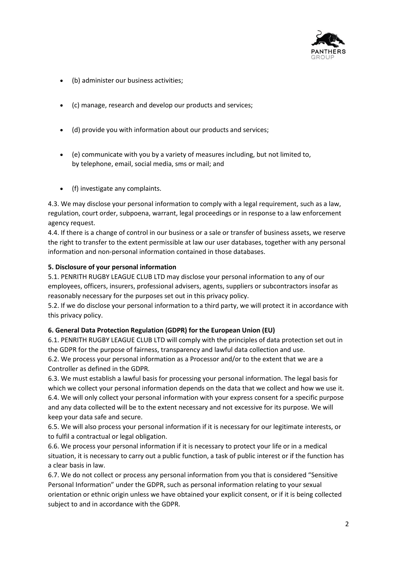

- (b) administer our business activities;
- (c) manage, research and develop our products and services;
- (d) provide you with information about our products and services;
- (e) communicate with you by a variety of measures including, but not limited to, by telephone, email, social media, sms or mail; and
- (f) investigate any complaints.

4.3. We may disclose your personal information to comply with a legal requirement, such as a law, regulation, court order, subpoena, warrant, legal proceedings or in response to a law enforcement agency request.

4.4. If there is a change of control in our business or a sale or transfer of business assets, we reserve the right to transfer to the extent permissible at law our user databases, together with any personal information and non-personal information contained in those databases.

#### **5. Disclosure of your personal information**

5.1. PENRITH RUGBY LEAGUE CLUB LTD may disclose your personal information to any of our employees, officers, insurers, professional advisers, agents, suppliers or subcontractors insofar as reasonably necessary for the purposes set out in this privacy policy.

5.2. If we do disclose your personal information to a third party, we will protect it in accordance with this privacy policy.

#### **6. General Data Protection Regulation (GDPR) for the European Union (EU)**

6.1. PENRITH RUGBY LEAGUE CLUB LTD will comply with the principles of data protection set out in the GDPR for the purpose of fairness, transparency and lawful data collection and use.

6.2. We process your personal information as a Processor and/or to the extent that we are a Controller as defined in the GDPR.

6.3. We must establish a lawful basis for processing your personal information. The legal basis for which we collect your personal information depends on the data that we collect and how we use it. 6.4. We will only collect your personal information with your express consent for a specific purpose and any data collected will be to the extent necessary and not excessive for its purpose. We will keep your data safe and secure.

6.5. We will also process your personal information if it is necessary for our legitimate interests, or to fulfil a contractual or legal obligation.

6.6. We process your personal information if it is necessary to protect your life or in a medical situation, it is necessary to carry out a public function, a task of public interest or if the function has a clear basis in law.

6.7. We do not collect or process any personal information from you that is considered "Sensitive Personal Information" under the GDPR, such as personal information relating to your sexual orientation or ethnic origin unless we have obtained your explicit consent, or if it is being collected subject to and in accordance with the GDPR.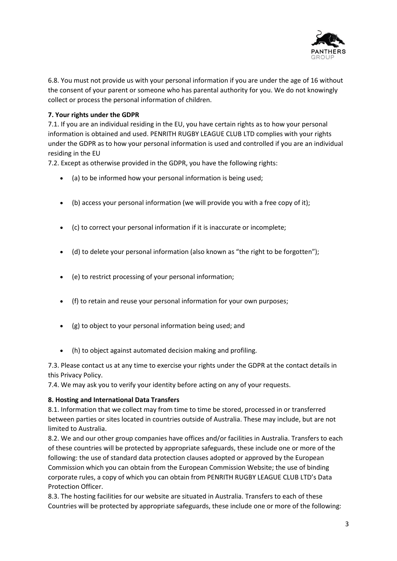

6.8. You must not provide us with your personal information if you are under the age of 16 without the consent of your parent or someone who has parental authority for you. We do not knowingly collect or process the personal information of children.

### **7. Your rights under the GDPR**

7.1. If you are an individual residing in the EU, you have certain rights as to how your personal information is obtained and used. PENRITH RUGBY LEAGUE CLUB LTD complies with your rights under the GDPR as to how your personal information is used and controlled if you are an individual residing in the EU

7.2. Except as otherwise provided in the GDPR, you have the following rights:

- (a) to be informed how your personal information is being used;
- (b) access your personal information (we will provide you with a free copy of it);
- (c) to correct your personal information if it is inaccurate or incomplete;
- (d) to delete your personal information (also known as "the right to be forgotten");
- (e) to restrict processing of your personal information;
- (f) to retain and reuse your personal information for your own purposes;
- (g) to object to your personal information being used; and
- (h) to object against automated decision making and profiling.

7.3. Please contact us at any time to exercise your rights under the GDPR at the contact details in this Privacy Policy.

7.4. We may ask you to verify your identity before acting on any of your requests.

#### **8. Hosting and International Data Transfers**

8.1. Information that we collect may from time to time be stored, processed in or transferred between parties or sites located in countries outside of Australia. These may include, but are not limited to Australia.

8.2. We and our other group companies have offices and/or facilities in Australia. Transfers to each of these countries will be protected by appropriate safeguards, these include one or more of the following: the use of standard data protection clauses adopted or approved by the European Commission which you can obtain from the European Commission Website; the use of binding corporate rules, a copy of which you can obtain from PENRITH RUGBY LEAGUE CLUB LTD's Data Protection Officer.

8.3. The hosting facilities for our website are situated in Australia. Transfers to each of these Countries will be protected by appropriate safeguards, these include one or more of the following: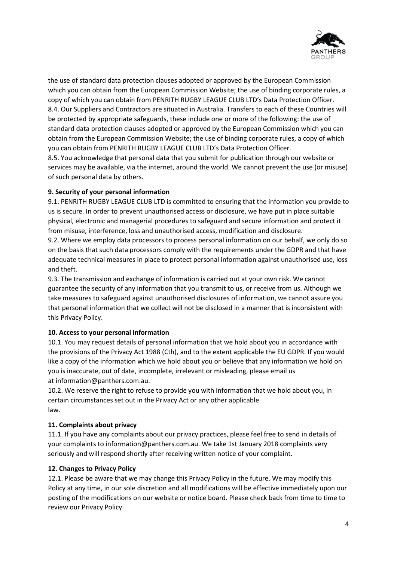

the use of standard data protection clauses adopted or approved by the European Commission which you can obtain from the European Commission Website; the use of binding corporate rules, a copy of which you can obtain from PENRITH RUGBY LEAGUE CLUB LTD's Data Protection Officer. 8.4. Our Suppliers and Contractors are situated in Australia. Transfers to each of these Countries will be protected by appropriate safeguards, these include one or more of the following: the use of standard data protection clauses adopted or approved by the European Commission which you can obtain from the European Commission Website; the use of binding corporate rules, a copy of which you can obtain from PENRITH RUGBY LEAGUE CLUB LTD's Data Protection Officer.

8.5. You acknowledge that personal data that you submit for publication through our website or services may be available, via the internet, around the world. We cannot prevent the use (or misuse) of such personal data by others.

## **9. Security of your personal information**

9.1. PENRITH RUGBY LEAGUE CLUB LTD is committed to ensuring that the information you provide to us is secure. In order to prevent unauthorised access or disclosure, we have put in place suitable physical, electronic and managerial procedures to safeguard and secure information and protect it from misuse, interference, loss and unauthorised access, modification and disclosure.

9.2. Where we employ data processors to process personal information on our behalf, we only do so on the basis that such data processors comply with the requirements under the GDPR and that have adequate technical measures in place to protect personal information against unauthorised use, loss and theft.

9.3. The transmission and exchange of information is carried out at your own risk. We cannot guarantee the security of any information that you transmit to us, or receive from us. Although we take measures to safeguard against unauthorised disclosures of information, we cannot assure you that personal information that we collect will not be disclosed in a manner that is inconsistent with this Privacy Policy.

#### **10. Access to your personal information**

10.1. You may request details of personal information that we hold about you in accordance with the provisions of the Privacy Act 1988 (Cth), and to the extent applicable the EU GDPR. If you would like a copy of the information which we hold about you or believe that any information we hold on you is inaccurate, out of date, incomplete, irrelevant or misleading, please email us at information@panthers.com.au.

10.2. We reserve the right to refuse to provide you with information that we hold about you, in certain circumstances set out in the Privacy Act or any other applicable law.

#### **11. Complaints about privacy**

11.1. If you have any complaints about our privacy practices, please feel free to send in details of your complaints to information@panthers.com.au. We take 1st January 2018 complaints very seriously and will respond shortly after receiving written notice of your complaint.

#### **12. Changes to Privacy Policy**

12.1. Please be aware that we may change this Privacy Policy in the future. We may modify this Policy at any time, in our sole discretion and all modifications will be effective immediately upon our posting of the modifications on our website or notice board. Please check back from time to time to review our Privacy Policy.